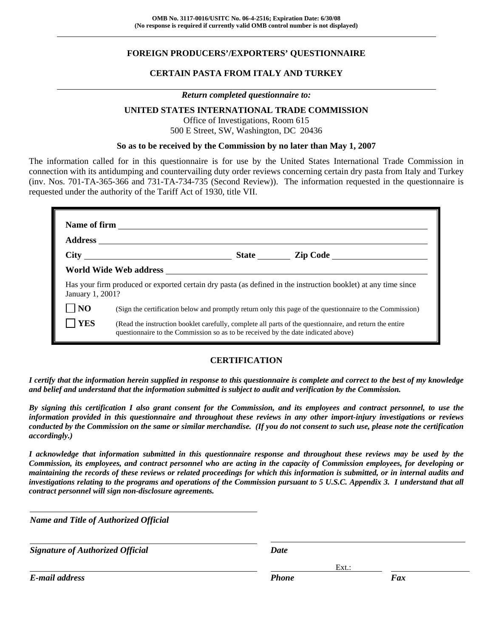### **FOREIGN PRODUCERS'/EXPORTERS' QUESTIONNAIRE**

### **CERTAIN PASTA FROM ITALY AND TURKEY**

#### *Return completed questionnaire to:*

#### **UNITED STATES INTERNATIONAL TRADE COMMISSION**

Office of Investigations, Room 615 500 E Street, SW, Washington, DC 20436

#### **So as to be received by the Commission by no later than May 1, 2007**

The information called for in this questionnaire is for use by the United States International Trade Commission in connection with its antidumping and countervailing duty order reviews concerning certain dry pasta from Italy and Turkey (inv. Nos. 701-TA-365-366 and 731-TA-734-735 (Second Review)). The information requested in the questionnaire is requested under the authority of the Tariff Act of 1930, title VII.

|                  | State <u>Lip Code</u>                                                                                                                                                                        |                                                                                                          |  |  |  |
|------------------|----------------------------------------------------------------------------------------------------------------------------------------------------------------------------------------------|----------------------------------------------------------------------------------------------------------|--|--|--|
|                  |                                                                                                                                                                                              |                                                                                                          |  |  |  |
| January 1, 2001? | Has your firm produced or exported certain dry pasta (as defined in the instruction booklet) at any time since                                                                               |                                                                                                          |  |  |  |
| N <sub>O</sub>   |                                                                                                                                                                                              | (Sign the certification below and promptly return only this page of the questionnaire to the Commission) |  |  |  |
| <b>YES</b>       | (Read the instruction booklet carefully, complete all parts of the questionnaire, and return the entire<br>questionnaire to the Commission so as to be received by the date indicated above) |                                                                                                          |  |  |  |

#### **CERTIFICATION**

*I certify that the information herein supplied in response to this questionnaire is complete and correct to the best of my knowledge and belief and understand that the information submitted is subject to audit and verification by the Commission.* 

*By signing this certification I also grant consent for the Commission, and its employees and contract personnel, to use the information provided in this questionnaire and throughout these reviews in any other import-injury investigations or reviews conducted by the Commission on the same or similar merchandise. (If you do not consent to such use, please note the certification accordingly.)* 

*I acknowledge that information submitted in this questionnaire response and throughout these reviews may be used by the Commission, its employees, and contract personnel who are acting in the capacity of Commission employees, for developing or maintaining the records of these reviews or related proceedings for which this information is submitted, or in internal audits and investigations relating to the programs and operations of the Commission pursuant to 5 U.S.C. Appendix 3. I understand that all contract personnel will sign non-disclosure agreements.*

*Name and Title of Authorized Official*

*Signature of Authorized Official Date*

Ext.: Ext.: Ext.: Ext.: Ext.: Ext.: Ext.: Ext.: Ext.: Ext.: Ext.: Ext.: Ext.: Ext.: Ext.: Ext.: Ext.: Ext.: Ext.: Ext.: Ext.: Ext.: Ext.: Ext.: Ext.: Ext.: Ext.: Ext.: Ext.: Ext.: Ext.: Ext.: Ext.: Ext.: Ext.: Ext.: Ext.:

*E-mail address Phone Fax*

l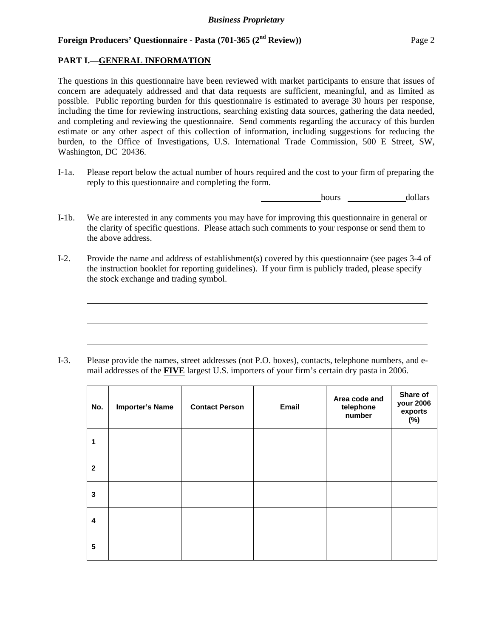### **PART I.—GENERAL INFORMATION**

 $\overline{a}$ 

 $\overline{a}$ 

 $\overline{a}$ 

The questions in this questionnaire have been reviewed with market participants to ensure that issues of concern are adequately addressed and that data requests are sufficient, meaningful, and as limited as possible. Public reporting burden for this questionnaire is estimated to average 30 hours per response, including the time for reviewing instructions, searching existing data sources, gathering the data needed, and completing and reviewing the questionnaire. Send comments regarding the accuracy of this burden estimate or any other aspect of this collection of information, including suggestions for reducing the burden, to the Office of Investigations, U.S. International Trade Commission, 500 E Street, SW, Washington, DC 20436.

I-1a. Please report below the actual number of hours required and the cost to your firm of preparing the reply to this questionnaire and completing the form.

hours dollars

- I-1b. We are interested in any comments you may have for improving this questionnaire in general or the clarity of specific questions. Please attach such comments to your response or send them to the above address.
- I-2. Provide the name and address of establishment(s) covered by this questionnaire (see pages 3-4 of the instruction booklet for reporting guidelines). If your firm is publicly traded, please specify the stock exchange and trading symbol.

I-3. Please provide the names, street addresses (not P.O. boxes), contacts, telephone numbers, and email addresses of the **FIVE** largest U.S. importers of your firm's certain dry pasta in 2006.

| No.          | <b>Importer's Name</b> | <b>Contact Person</b> | Email | Area code and<br>telephone<br>number | Share of<br>your 2006<br>exports<br>(%) |
|--------------|------------------------|-----------------------|-------|--------------------------------------|-----------------------------------------|
| 1            |                        |                       |       |                                      |                                         |
| $\mathbf{2}$ |                        |                       |       |                                      |                                         |
| 3            |                        |                       |       |                                      |                                         |
| 4            |                        |                       |       |                                      |                                         |
| 5            |                        |                       |       |                                      |                                         |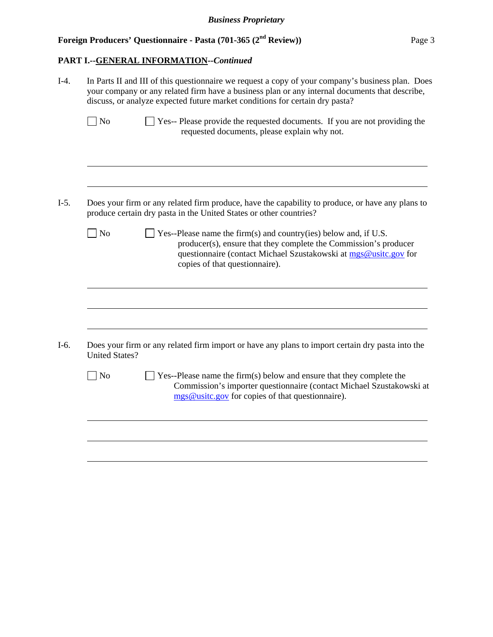## **PART I.--GENERAL INFORMATION***--Continued*

| $I-4.$ |                       | In Parts II and III of this questionnaire we request a copy of your company's business plan. Does<br>your company or any related firm have a business plan or any internal documents that describe,<br>discuss, or analyze expected future market conditions for certain dry pasta? |  |  |  |
|--------|-----------------------|-------------------------------------------------------------------------------------------------------------------------------------------------------------------------------------------------------------------------------------------------------------------------------------|--|--|--|
|        | $\Box$ No             | Yes-- Please provide the requested documents. If you are not providing the<br>requested documents, please explain why not.                                                                                                                                                          |  |  |  |
| $I-5.$ |                       | Does your firm or any related firm produce, have the capability to produce, or have any plans to<br>produce certain dry pasta in the United States or other countries?                                                                                                              |  |  |  |
|        | $\log$                | Yes--Please name the firm(s) and country(ies) below and, if U.S.<br>producer(s), ensure that they complete the Commission's producer<br>questionnaire (contact Michael Szustakowski at mgs@usitc.gov for<br>copies of that questionnaire).                                          |  |  |  |
| I-6.   |                       | Does your firm or any related firm import or have any plans to import certain dry pasta into the                                                                                                                                                                                    |  |  |  |
|        | <b>United States?</b> |                                                                                                                                                                                                                                                                                     |  |  |  |
|        | $\Box$ No             | $\Box$ Yes--Please name the firm(s) below and ensure that they complete the<br>Commission's importer questionnaire (contact Michael Szustakowski at<br>mgs@usitc.gov for copies of that questionnaire).                                                                             |  |  |  |
|        |                       |                                                                                                                                                                                                                                                                                     |  |  |  |
|        |                       |                                                                                                                                                                                                                                                                                     |  |  |  |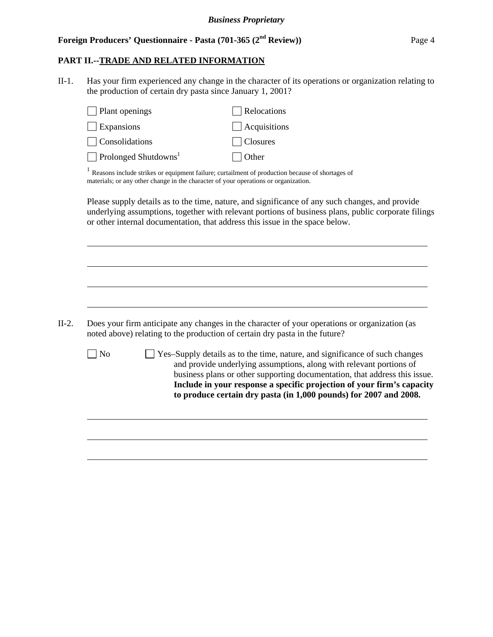## **PART II.--TRADE AND RELATED INFORMATION**

II-1. Has your firm experienced any change in the character of its operations or organization relating to the production of certain dry pasta since January 1, 2001?

| Plant openings                   | Relocations                                                                                                                                                                                                                                                                            |
|----------------------------------|----------------------------------------------------------------------------------------------------------------------------------------------------------------------------------------------------------------------------------------------------------------------------------------|
| Expansions                       | Acquisitions                                                                                                                                                                                                                                                                           |
| Consolidations                   | Closures                                                                                                                                                                                                                                                                               |
| Prolonged Shutdowns <sup>1</sup> | Other                                                                                                                                                                                                                                                                                  |
|                                  | $1$ Reasons include strikes or equipment failure; curtailment of production because of shortages of<br>materials; or any other change in the character of your operations or organization.                                                                                             |
|                                  | Please supply details as to the time, nature, and significance of any such changes, and provide<br>underlying assumptions, together with relevant portions of business plans, public corporate filings<br>or other internal documentation, that address this issue in the space below. |
|                                  |                                                                                                                                                                                                                                                                                        |
|                                  |                                                                                                                                                                                                                                                                                        |
|                                  |                                                                                                                                                                                                                                                                                        |
|                                  | Does your firm anticipate any changes in the character of your operations or organization (as<br>noted above) relating to the production of certain dry pasta in the future?                                                                                                           |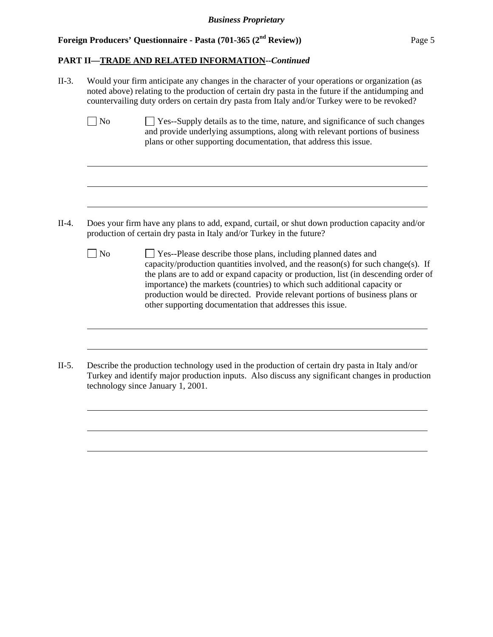$\overline{a}$ 

 $\overline{a}$ 

 $\overline{a}$ 

 $\overline{a}$ 

 $\overline{a}$ 

 $\overline{a}$ 

 $\overline{a}$ 

 $\overline{a}$ 

#### **PART II—TRADE AND RELATED INFORMATION--***Continued*

II-3. Would your firm anticipate any changes in the character of your operations or organization (as noted above) relating to the production of certain dry pasta in the future if the antidumping and countervailing duty orders on certain dry pasta from Italy and/or Turkey were to be revoked?

| $\Box$ No | <b>EXECUTE:</b> Yes-Supply details as to the time, nature, and significance of such changes |
|-----------|---------------------------------------------------------------------------------------------|
|           | and provide underlying assumptions, along with relevant portions of business                |
|           | plans or other supporting documentation, that address this issue.                           |

- II-4. Does your firm have any plans to add, expand, curtail, or shut down production capacity and/or production of certain dry pasta in Italy and/or Turkey in the future?
	- No **Yes--Please describe those plans, including planned dates and** capacity/production quantities involved, and the reason(s) for such change(s). If the plans are to add or expand capacity or production, list (in descending order of importance) the markets (countries) to which such additional capacity or production would be directed. Provide relevant portions of business plans or other supporting documentation that addresses this issue.
- II-5. Describe the production technology used in the production of certain dry pasta in Italy and/or Turkey and identify major production inputs. Also discuss any significant changes in production technology since January 1, 2001.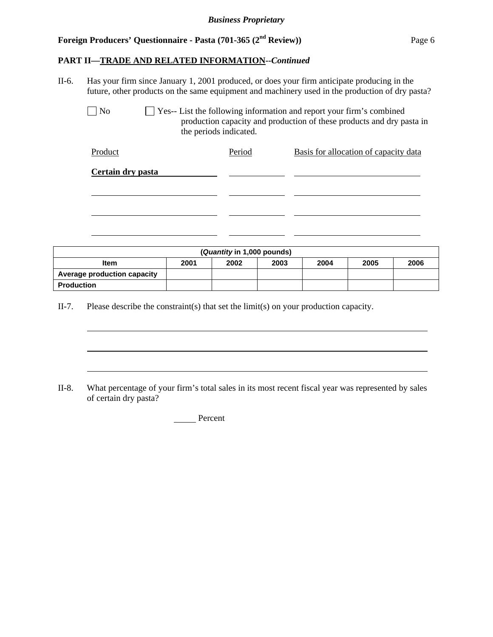#### **PART II—TRADE AND RELATED INFORMATION--***Continued*

II-6. Has your firm since January 1, 2001 produced, or does your firm anticipate producing in the future, other products on the same equipment and machinery used in the production of dry pasta?

 $\Box$  No  $\Box$  Yes-- List the following information and report your firm's combined production capacity and production of these products and dry pasta in the periods indicated.

| Period | Basis for allocation of capacity data |
|--------|---------------------------------------|
|        |                                       |
|        |                                       |
|        |                                       |
|        |                                       |
|        |                                       |

| (Quantity in 1,000 pounds)  |      |      |      |      |      |      |
|-----------------------------|------|------|------|------|------|------|
| <b>Item</b>                 | 2001 | 2002 | 2003 | 2004 | 2005 | 2006 |
| Average production capacity |      |      |      |      |      |      |
| <b>Production</b>           |      |      |      |      |      |      |

II-7. Please describe the constraint(s) that set the limit(s) on your production capacity.

l

 $\overline{a}$ 

 $\overline{a}$ 

II-8. What percentage of your firm's total sales in its most recent fiscal year was represented by sales of certain dry pasta?

Percent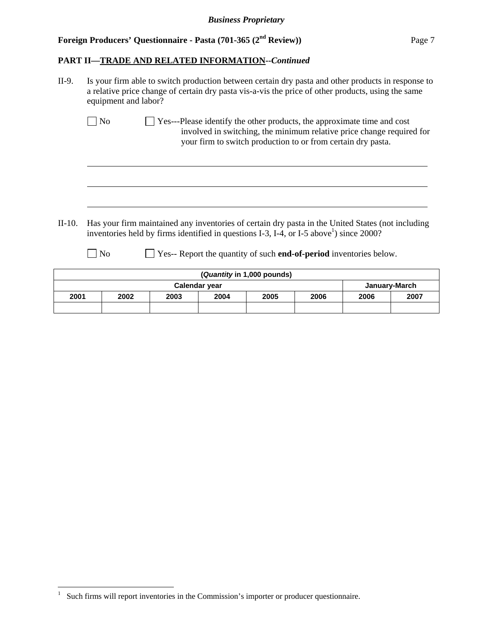## **PART II—TRADE AND RELATED INFORMATION--***Continued*

| II-9.    | Is your firm able to switch production between certain dry pasta and other products in response to<br>a relative price change of certain dry pasta vis-a-vis the price of other products, using the same<br>equipment and labor? |
|----------|----------------------------------------------------------------------------------------------------------------------------------------------------------------------------------------------------------------------------------|
|          | Yes---Please identify the other products, the approximate time and cost<br>No<br>involved in switching, the minimum relative price change required for<br>your firm to switch production to or from certain dry pasta.           |
|          |                                                                                                                                                                                                                                  |
| $II-10.$ | Has your firm maintained any inventories of certain dry pasta in the United States (not including<br>inventories held by firms identified in questions I-3, I-4, or I-5 above <sup>1</sup> ) since 2000?                         |
|          | Yes-- Report the quantity of such end-of-period inventories below.<br>No<br>$\mathbf{u}$<br>. .                                                                                                                                  |

|      | (Quantity in 1,000 pounds)           |  |  |  |  |  |      |
|------|--------------------------------------|--|--|--|--|--|------|
|      | January-March<br>Calendar year       |  |  |  |  |  |      |
| 2001 | 2004<br>2003<br>2005<br>2006<br>2002 |  |  |  |  |  | 2007 |
|      |                                      |  |  |  |  |  |      |

 1 Such firms will report inventories in the Commission's importer or producer questionnaire.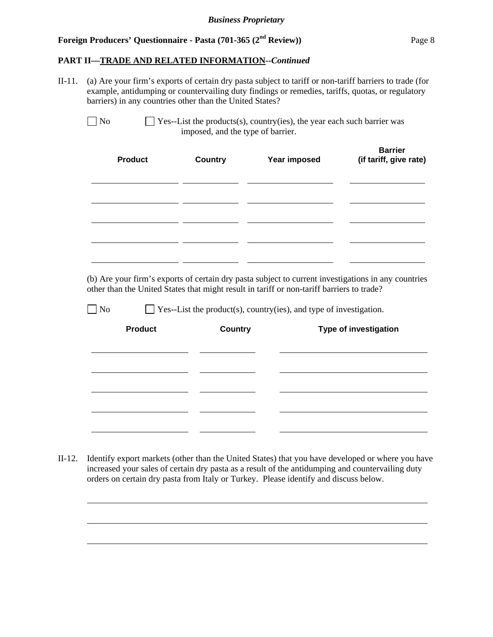## **PART II—TRADE AND RELATED INFORMATION--***Continued*

II-11. (a) Are your firm's exports of certain dry pasta subject to tariff or non-tariff barriers to trade (for example, antidumping or countervailing duty findings or remedies, tariffs, quotas, or regulatory barriers) in any countries other than the United States?

| No | $\Box$ Yes--List the products(s), country(ies), the year each such barrier was |
|----|--------------------------------------------------------------------------------|
|    | imposed, and the type of barrier.                                              |

| <b>Product</b> | <b>Country</b> | Year imposed | <b>Barrier</b><br>(if tariff, give rate) |
|----------------|----------------|--------------|------------------------------------------|
|                |                |              |                                          |
|                |                |              |                                          |
|                |                |              |                                          |

 (b) Are your firm's exports of certain dry pasta subject to current investigations in any countries other than the United States that might result in tariff or non-tariff barriers to trade?

 $\Box$  No  $\Box$  Yes--List the product(s), country(ies), and type of investigation.

| <b>Product</b> | <b>Country</b> | Type of investigation |
|----------------|----------------|-----------------------|
|                |                |                       |
|                |                |                       |
|                |                |                       |
|                |                |                       |

II-12. Identify export markets (other than the United States) that you have developed or where you have increased your sales of certain dry pasta as a result of the antidumping and countervailing duty orders on certain dry pasta from Italy or Turkey. Please identify and discuss below.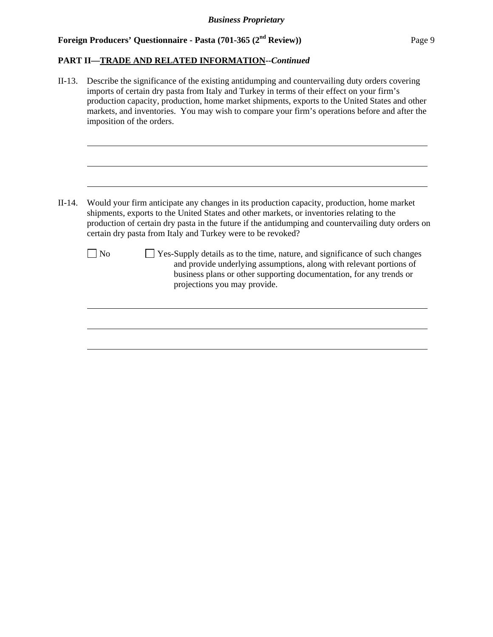## **PART II—TRADE AND RELATED INFORMATION--***Continued*

| $II-13.$ | Describe the significance of the existing antidumping and countervailing duty orders covering<br>imports of certain dry pasta from Italy and Turkey in terms of their effect on your firm's<br>production capacity, production, home market shipments, exports to the United States and other<br>markets, and inventories. You may wish to compare your firm's operations before and after the<br>imposition of the orders. |  |
|----------|-----------------------------------------------------------------------------------------------------------------------------------------------------------------------------------------------------------------------------------------------------------------------------------------------------------------------------------------------------------------------------------------------------------------------------|--|
| $II-14.$ | Would your firm anticipate any changes in its production capacity, production, home market<br>shipments, exports to the United States and other markets, or inventories relating to the<br>production of certain dry pasta in the future if the antidumping and countervailing duty orders on<br>certain dry pasta from Italy and Turkey were to be revoked?                                                                |  |
|          | Yes-Supply details as to the time, nature, and significance of such changes<br>$ $ No<br>and provide underlying assumptions, along with relevant portions of<br>business plans or other supporting documentation, for any trends or<br>projections you may provide.                                                                                                                                                         |  |
|          |                                                                                                                                                                                                                                                                                                                                                                                                                             |  |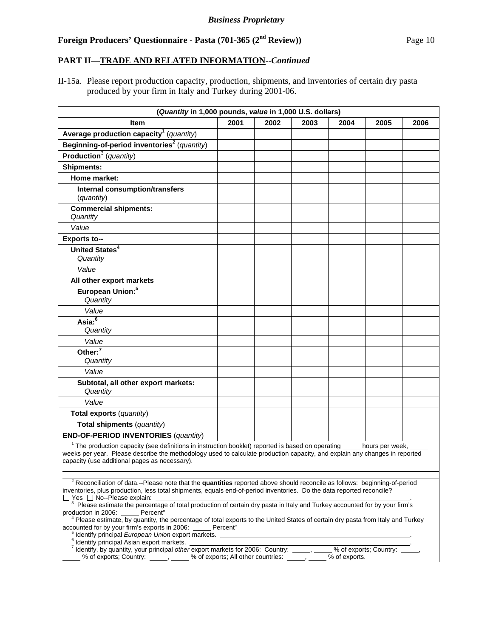#### **PART II—TRADE AND RELATED INFORMATION--***Continued*

II-15a. Please report production capacity, production, shipments, and inventories of certain dry pasta produced by your firm in Italy and Turkey during 2001-06.

| (Quantity in 1,000 pounds, value in 1,000 U.S. dollars)                                                                                                                                                                                                                                                                                                                                                                                                                                                                                                                                                                                                                                  |      |      |      |      |                 |      |
|------------------------------------------------------------------------------------------------------------------------------------------------------------------------------------------------------------------------------------------------------------------------------------------------------------------------------------------------------------------------------------------------------------------------------------------------------------------------------------------------------------------------------------------------------------------------------------------------------------------------------------------------------------------------------------------|------|------|------|------|-----------------|------|
| Item                                                                                                                                                                                                                                                                                                                                                                                                                                                                                                                                                                                                                                                                                     | 2001 | 2002 | 2003 | 2004 | 2005            | 2006 |
| Average production capacity <sup>1</sup> (quantity)                                                                                                                                                                                                                                                                                                                                                                                                                                                                                                                                                                                                                                      |      |      |      |      |                 |      |
| Beginning-of-period inventories <sup>2</sup> (quantity)                                                                                                                                                                                                                                                                                                                                                                                                                                                                                                                                                                                                                                  |      |      |      |      |                 |      |
| Production <sup>3</sup> (quantity)                                                                                                                                                                                                                                                                                                                                                                                                                                                                                                                                                                                                                                                       |      |      |      |      |                 |      |
| <b>Shipments:</b>                                                                                                                                                                                                                                                                                                                                                                                                                                                                                                                                                                                                                                                                        |      |      |      |      |                 |      |
| Home market:                                                                                                                                                                                                                                                                                                                                                                                                                                                                                                                                                                                                                                                                             |      |      |      |      |                 |      |
| Internal consumption/transfers<br>(quantity)                                                                                                                                                                                                                                                                                                                                                                                                                                                                                                                                                                                                                                             |      |      |      |      |                 |      |
| <b>Commercial shipments:</b><br>Quantity                                                                                                                                                                                                                                                                                                                                                                                                                                                                                                                                                                                                                                                 |      |      |      |      |                 |      |
| Value                                                                                                                                                                                                                                                                                                                                                                                                                                                                                                                                                                                                                                                                                    |      |      |      |      |                 |      |
| <b>Exports to--</b>                                                                                                                                                                                                                                                                                                                                                                                                                                                                                                                                                                                                                                                                      |      |      |      |      |                 |      |
| United States <sup>4</sup><br>Quantity                                                                                                                                                                                                                                                                                                                                                                                                                                                                                                                                                                                                                                                   |      |      |      |      |                 |      |
| Value                                                                                                                                                                                                                                                                                                                                                                                                                                                                                                                                                                                                                                                                                    |      |      |      |      |                 |      |
| All other export markets                                                                                                                                                                                                                                                                                                                                                                                                                                                                                                                                                                                                                                                                 |      |      |      |      |                 |      |
| European Union: <sup>5</sup><br>Quantity                                                                                                                                                                                                                                                                                                                                                                                                                                                                                                                                                                                                                                                 |      |      |      |      |                 |      |
| Value                                                                                                                                                                                                                                                                                                                                                                                                                                                                                                                                                                                                                                                                                    |      |      |      |      |                 |      |
| Asia: <sup>6</sup><br>Quantity                                                                                                                                                                                                                                                                                                                                                                                                                                                                                                                                                                                                                                                           |      |      |      |      |                 |      |
| Value                                                                                                                                                                                                                                                                                                                                                                                                                                                                                                                                                                                                                                                                                    |      |      |      |      |                 |      |
| Other: <sup>7</sup><br>Quantity                                                                                                                                                                                                                                                                                                                                                                                                                                                                                                                                                                                                                                                          |      |      |      |      |                 |      |
| Value                                                                                                                                                                                                                                                                                                                                                                                                                                                                                                                                                                                                                                                                                    |      |      |      |      |                 |      |
| Subtotal, all other export markets:<br>Quantity                                                                                                                                                                                                                                                                                                                                                                                                                                                                                                                                                                                                                                          |      |      |      |      |                 |      |
| Value                                                                                                                                                                                                                                                                                                                                                                                                                                                                                                                                                                                                                                                                                    |      |      |      |      |                 |      |
| <b>Total exports (quantity)</b>                                                                                                                                                                                                                                                                                                                                                                                                                                                                                                                                                                                                                                                          |      |      |      |      |                 |      |
| Total shipments (quantity)                                                                                                                                                                                                                                                                                                                                                                                                                                                                                                                                                                                                                                                               |      |      |      |      |                 |      |
| <b>END-OF-PERIOD INVENTORIES (quantity)</b>                                                                                                                                                                                                                                                                                                                                                                                                                                                                                                                                                                                                                                              |      |      |      |      |                 |      |
| <sup>1</sup> The production capacity (see definitions in instruction booklet) reported is based on operating<br>weeks per year. Please describe the methodology used to calculate production capacity, and explain any changes in reported<br>capacity (use additional pages as necessary).                                                                                                                                                                                                                                                                                                                                                                                              |      |      |      |      | hours per week, |      |
|                                                                                                                                                                                                                                                                                                                                                                                                                                                                                                                                                                                                                                                                                          |      |      |      |      |                 |      |
| <sup>2</sup> Reconciliation of data.--Please note that the quantities reported above should reconcile as follows: beginning-of-period<br>inventories, plus production, less total shipments, equals end-of-period inventories. Do the data reported reconcile?<br>$\Box$ Yes $\Box$ No--Please explain:<br><sup>3</sup> Please estimate the percentage of total production of certain dry pasta in Italy and Turkey accounted for by your firm's<br>production in 2006: Percent"<br><sup>4</sup> Please estimate, by quantity, the percentage of total exports to the United States of certain dry pasta from Italy and Turkey<br>accounted for by your firm's exports in 2006: Percent" |      |      |      |      |                 |      |
| <sup>6</sup> Identify principal Asian export markets.                                                                                                                                                                                                                                                                                                                                                                                                                                                                                                                                                                                                                                    |      |      |      |      |                 |      |
| % of exports; Country:<br>dentify, by quantity, your principal other export markets for 2006: Country: _____, _____<br>$%$ of exports.                                                                                                                                                                                                                                                                                                                                                                                                                                                                                                                                                   |      |      |      |      |                 |      |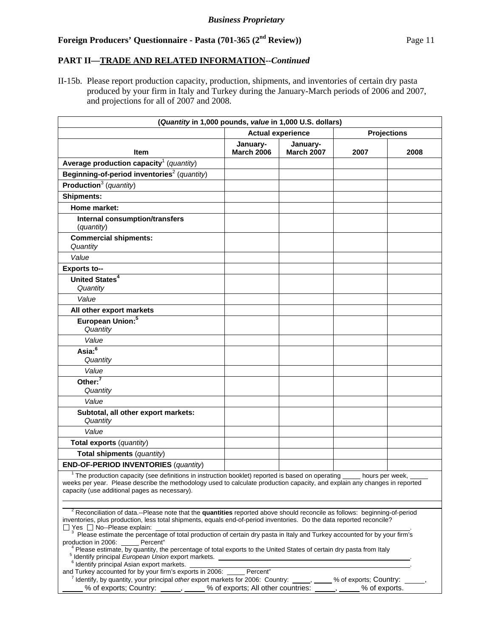#### **PART II—TRADE AND RELATED INFORMATION--***Continued*

II-15b. Please report production capacity, production, shipments, and inventories of certain dry pasta produced by your firm in Italy and Turkey during the January-March periods of 2006 and 2007, and projections for all of 2007 and 2008.

| (Quantity in 1,000 pounds, value in 1,000 U.S. dollars)                                                                                                                                                                                                                                                                                                                                                                                          |                               |                               |      |                    |  |
|--------------------------------------------------------------------------------------------------------------------------------------------------------------------------------------------------------------------------------------------------------------------------------------------------------------------------------------------------------------------------------------------------------------------------------------------------|-------------------------------|-------------------------------|------|--------------------|--|
|                                                                                                                                                                                                                                                                                                                                                                                                                                                  |                               | <b>Actual experience</b>      |      | <b>Projections</b> |  |
| Item                                                                                                                                                                                                                                                                                                                                                                                                                                             | January-<br><b>March 2006</b> | January-<br><b>March 2007</b> | 2007 | 2008               |  |
| Average production capacity <sup>1</sup> (quantity)                                                                                                                                                                                                                                                                                                                                                                                              |                               |                               |      |                    |  |
| Beginning-of-period inventories <sup>2</sup> (quantity)                                                                                                                                                                                                                                                                                                                                                                                          |                               |                               |      |                    |  |
| <b>Production</b> <sup>3</sup> (quantity)                                                                                                                                                                                                                                                                                                                                                                                                        |                               |                               |      |                    |  |
| <b>Shipments:</b>                                                                                                                                                                                                                                                                                                                                                                                                                                |                               |                               |      |                    |  |
| Home market:                                                                                                                                                                                                                                                                                                                                                                                                                                     |                               |                               |      |                    |  |
| Internal consumption/transfers<br>(quantity)                                                                                                                                                                                                                                                                                                                                                                                                     |                               |                               |      |                    |  |
| <b>Commercial shipments:</b><br>Quantity                                                                                                                                                                                                                                                                                                                                                                                                         |                               |                               |      |                    |  |
| Value                                                                                                                                                                                                                                                                                                                                                                                                                                            |                               |                               |      |                    |  |
| <b>Exports to--</b>                                                                                                                                                                                                                                                                                                                                                                                                                              |                               |                               |      |                    |  |
| United States <sup>4</sup><br>Quantity                                                                                                                                                                                                                                                                                                                                                                                                           |                               |                               |      |                    |  |
| Value                                                                                                                                                                                                                                                                                                                                                                                                                                            |                               |                               |      |                    |  |
| All other export markets                                                                                                                                                                                                                                                                                                                                                                                                                         |                               |                               |      |                    |  |
| European Union: <sup>5</sup><br>Quantity                                                                                                                                                                                                                                                                                                                                                                                                         |                               |                               |      |                    |  |
| Value                                                                                                                                                                                                                                                                                                                                                                                                                                            |                               |                               |      |                    |  |
| Asia: $6$<br>Quantity                                                                                                                                                                                                                                                                                                                                                                                                                            |                               |                               |      |                    |  |
| Value                                                                                                                                                                                                                                                                                                                                                                                                                                            |                               |                               |      |                    |  |
| Other: <sup>7</sup><br>Quantity                                                                                                                                                                                                                                                                                                                                                                                                                  |                               |                               |      |                    |  |
| Value                                                                                                                                                                                                                                                                                                                                                                                                                                            |                               |                               |      |                    |  |
| Subtotal, all other export markets:<br>Quantity                                                                                                                                                                                                                                                                                                                                                                                                  |                               |                               |      |                    |  |
| Value                                                                                                                                                                                                                                                                                                                                                                                                                                            |                               |                               |      |                    |  |
| Total exports (quantity)                                                                                                                                                                                                                                                                                                                                                                                                                         |                               |                               |      |                    |  |
| Total shipments (quantity)                                                                                                                                                                                                                                                                                                                                                                                                                       |                               |                               |      |                    |  |
| <b>END-OF-PERIOD INVENTORIES (quantity)</b>                                                                                                                                                                                                                                                                                                                                                                                                      |                               |                               |      |                    |  |
| <sup>1</sup> The production capacity (see definitions in instruction booklet) reported is based on operating _____ hours per week,<br>weeks per year. Please describe the methodology used to calculate production capacity, and explain any changes in reported<br>capacity (use additional pages as necessary).                                                                                                                                |                               |                               |      |                    |  |
| <sup>2</sup> Reconciliation of data.--Please note that the quantities reported above should reconcile as follows: beginning-of-period<br>inventories, plus production, less total shipments, equals end-of-period inventories. Do the data reported reconcile?<br>$\Box$ Yes $\Box$ No--Please explain:<br><sup>3</sup> Please estimate the percentage of total production of certain dry pasta in Italy and Turkey accounted for by your firm's |                               |                               |      |                    |  |
| production in 2006: Percent"<br><sup>4</sup> Please estimate, by quantity, the percentage of total exports to the United States of certain dry pasta from Italy                                                                                                                                                                                                                                                                                  |                               |                               |      |                    |  |
| <sup>6</sup> Identify principal Asian export markets.<br>and Turkey accounted for by your firm's exports in 2006.<br>Percent"<br>$^7$ Identify, by quantity, your principal other export markets for 2006: Country: $\_\_$<br>% of exports; Country:                                                                                                                                                                                             |                               |                               |      |                    |  |

% of exports; Country:  $\frac{1}{1}$ ,  $\frac{1}{1}$ % of exports; All other countries:  $\frac{1}{1}$ ,  $\frac{1}{1}$ % of exports.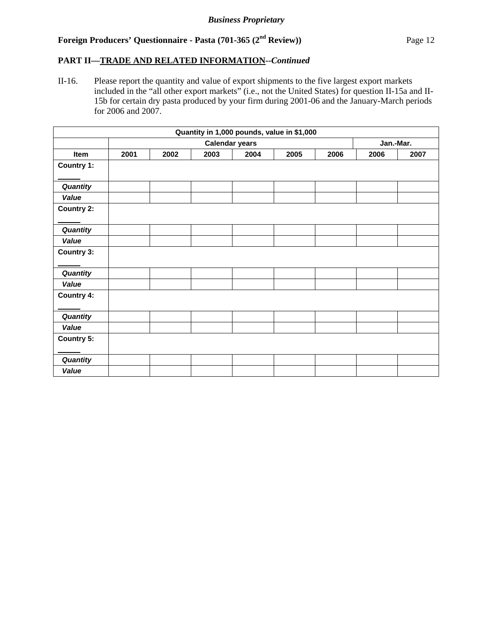#### **PART II—TRADE AND RELATED INFORMATION--***Continued*

II-16. Please report the quantity and value of export shipments to the five largest export markets included in the "all other export markets" (i.e., not the United States) for question II-15a and II-15b for certain dry pasta produced by your firm during 2001-06 and the January-March periods for 2006 and 2007.

| Quantity in 1,000 pounds, value in \$1,000 |                       |      |      |      |      |           |      |      |
|--------------------------------------------|-----------------------|------|------|------|------|-----------|------|------|
|                                            | <b>Calendar years</b> |      |      |      |      | Jan.-Mar. |      |      |
| <b>Item</b>                                | 2001                  | 2002 | 2003 | 2004 | 2005 | 2006      | 2006 | 2007 |
| <b>Country 1:</b>                          |                       |      |      |      |      |           |      |      |
| Quantity                                   |                       |      |      |      |      |           |      |      |
| Value                                      |                       |      |      |      |      |           |      |      |
| <b>Country 2:</b>                          |                       |      |      |      |      |           |      |      |
| Quantity                                   |                       |      |      |      |      |           |      |      |
| Value                                      |                       |      |      |      |      |           |      |      |
| Country 3:                                 |                       |      |      |      |      |           |      |      |
| Quantity                                   |                       |      |      |      |      |           |      |      |
| Value                                      |                       |      |      |      |      |           |      |      |
| <b>Country 4:</b>                          |                       |      |      |      |      |           |      |      |
| Quantity                                   |                       |      |      |      |      |           |      |      |
| Value                                      |                       |      |      |      |      |           |      |      |
| <b>Country 5:</b>                          |                       |      |      |      |      |           |      |      |
| Quantity                                   |                       |      |      |      |      |           |      |      |
| Value                                      |                       |      |      |      |      |           |      |      |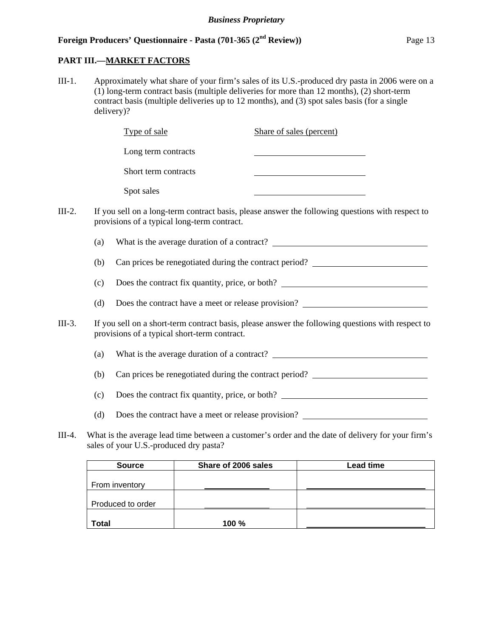#### **PART III.—MARKET FACTORS**

III-1. Approximately what share of your firm's sales of its U.S.-produced dry pasta in 2006 were on a (1) long-term contract basis (multiple deliveries for more than 12 months), (2) short-term contract basis (multiple deliveries up to 12 months), and (3) spot sales basis (for a single delivery)?

|          |     | Type of sale                                 | Share of sales (percent)                                                                          |
|----------|-----|----------------------------------------------|---------------------------------------------------------------------------------------------------|
|          |     | Long term contracts                          |                                                                                                   |
|          |     | Short term contracts                         |                                                                                                   |
|          |     | Spot sales                                   |                                                                                                   |
| $III-2.$ |     | provisions of a typical long-term contract.  | If you sell on a long-term contract basis, please answer the following questions with respect to  |
|          | (a) |                                              |                                                                                                   |
|          | (b) |                                              | Can prices be renegotiated during the contract period?                                            |
|          | (c) |                                              | Does the contract fix quantity, price, or both?                                                   |
|          | (d) |                                              | Does the contract have a meet or release provision?                                               |
| $III-3.$ |     | provisions of a typical short-term contract. | If you sell on a short-term contract basis, please answer the following questions with respect to |
|          | (a) |                                              |                                                                                                   |
|          | (b) |                                              | Can prices be renegotiated during the contract period?                                            |
|          | (c) |                                              | Does the contract fix quantity, price, or both?                                                   |
|          | (d) |                                              | Does the contract have a meet or release provision?                                               |
|          |     |                                              |                                                                                                   |

III-4. What is the average lead time between a customer's order and the date of delivery for your firm's sales of your U.S.-produced dry pasta?

| <b>Source</b>     | Share of 2006 sales | Lead time |
|-------------------|---------------------|-----------|
|                   |                     |           |
| From inventory    |                     |           |
|                   |                     |           |
| Produced to order |                     |           |
|                   |                     |           |
| <b>Total</b>      | 100%                |           |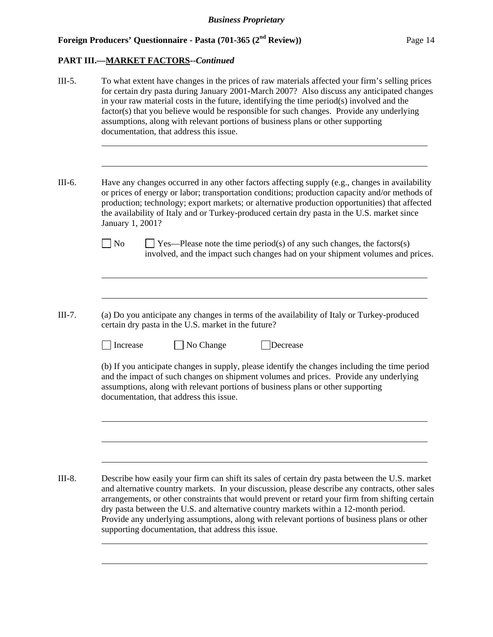| $III-5.$ | To what extent have changes in the prices of raw materials affected your firm's selling prices<br>for certain dry pasta during January 2001-March 2007? Also discuss any anticipated changes<br>in your raw material costs in the future, identifying the time period(s) involved and the<br>factor(s) that you believe would be responsible for such changes. Provide any underlying<br>assumptions, along with relevant portions of business plans or other supporting<br>documentation, that address this issue.                               |
|----------|---------------------------------------------------------------------------------------------------------------------------------------------------------------------------------------------------------------------------------------------------------------------------------------------------------------------------------------------------------------------------------------------------------------------------------------------------------------------------------------------------------------------------------------------------|
| III-6.   | Have any changes occurred in any other factors affecting supply (e.g., changes in availability<br>or prices of energy or labor; transportation conditions; production capacity and/or methods of<br>production; technology; export markets; or alternative production opportunities) that affected<br>the availability of Italy and or Turkey-produced certain dry pasta in the U.S. market since                                                                                                                                                 |
|          | January 1, 2001?<br>No<br>$\Box$ Yes—Please note the time period(s) of any such changes, the factors(s)<br>involved, and the impact such changes had on your shipment volumes and prices.                                                                                                                                                                                                                                                                                                                                                         |
| III-7.   | (a) Do you anticipate any changes in terms of the availability of Italy or Turkey-produced<br>certain dry pasta in the U.S. market in the future?<br>No Change<br>Decrease<br>Increase<br>(b) If you anticipate changes in supply, please identify the changes including the time period<br>and the impact of such changes on shipment volumes and prices. Provide any underlying<br>assumptions, along with relevant portions of business plans or other supporting<br>documentation, that address this issue.                                   |
| $III-8.$ | Describe how easily your firm can shift its sales of certain dry pasta between the U.S. market<br>and alternative country markets. In your discussion, please describe any contracts, other sales<br>arrangements, or other constraints that would prevent or retard your firm from shifting certain<br>dry pasta between the U.S. and alternative country markets within a 12-month period.<br>Provide any underlying assumptions, along with relevant portions of business plans or other<br>supporting documentation, that address this issue. |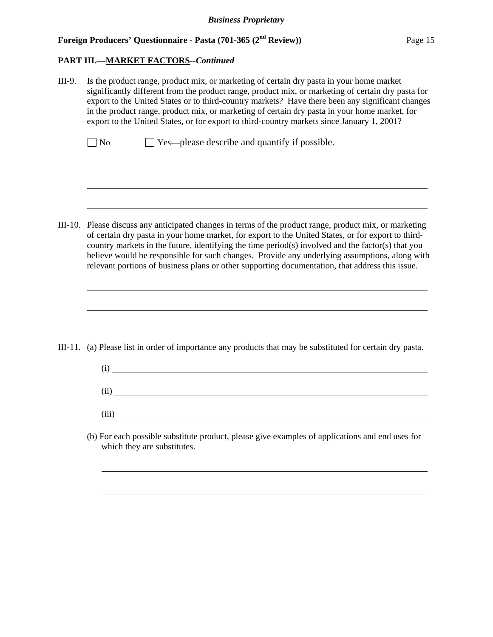#### **PART III.—MARKET FACTORS--***Continued*

l

 $\overline{a}$ 

l

l

III-9. Is the product range, product mix, or marketing of certain dry pasta in your home market significantly different from the product range, product mix, or marketing of certain dry pasta for export to the United States or to third-country markets? Have there been any significant changes in the product range, product mix, or marketing of certain dry pasta in your home market, for export to the United States, or for export to third-country markets since January 1, 2001?  $\Box$  No  $\Box$  Yes—please describe and quantify if possible.

III-10. Please discuss any anticipated changes in terms of the product range, product mix, or marketing of certain dry pasta in your home market, for export to the United States, or for export to thirdcountry markets in the future, identifying the time period(s) involved and the factor(s) that you believe would be responsible for such changes. Provide any underlying assumptions, along with relevant portions of business plans or other supporting documentation, that address this issue.

III-11. (a) Please list in order of importance any products that may be substituted for certain dry pasta.

- (i) (ii) (iii)
- (b) For each possible substitute product, please give examples of applications and end uses for which they are substitutes.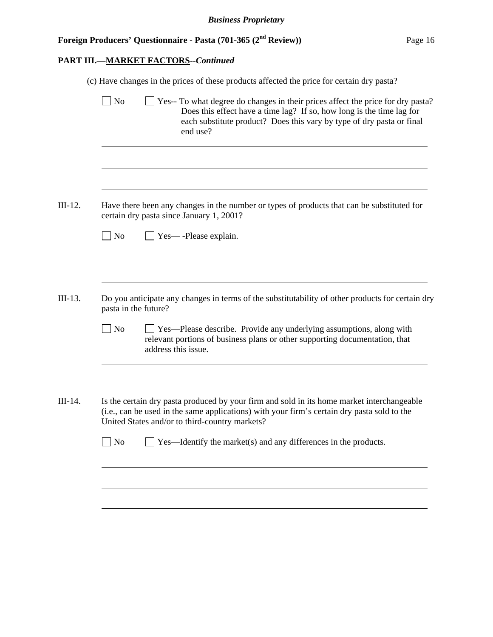|                      | Yes-- To what degree do changes in their prices affect the price for dry pasta?                                                                                                                                                             |
|----------------------|---------------------------------------------------------------------------------------------------------------------------------------------------------------------------------------------------------------------------------------------|
| $ $ No               | Does this effect have a time lag? If so, how long is the time lag for<br>each substitute product? Does this vary by type of dry pasta or final<br>end use?                                                                                  |
|                      |                                                                                                                                                                                                                                             |
|                      | Have there been any changes in the number or types of products that can be substituted for<br>certain dry pasta since January 1, 2001?                                                                                                      |
| $\Box$ No            | Yes—-Please explain.                                                                                                                                                                                                                        |
|                      |                                                                                                                                                                                                                                             |
|                      |                                                                                                                                                                                                                                             |
| pasta in the future? | Do you anticipate any changes in terms of the substitutability of other products for certain dry                                                                                                                                            |
| $\Box$ No            | □ Yes—Please describe. Provide any underlying assumptions, along with<br>relevant portions of business plans or other supporting documentation, that<br>address this issue.                                                                 |
|                      | Is the certain dry pasta produced by your firm and sold in its home market interchangeable<br>(i.e., can be used in the same applications) with your firm's certain dry pasta sold to the<br>United States and/or to third-country markets? |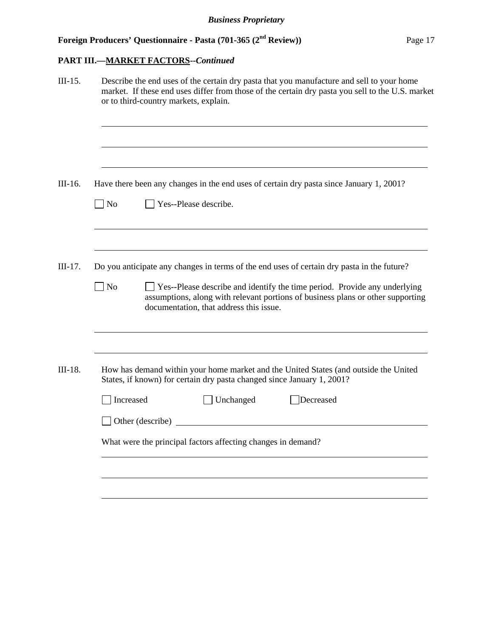| Describe the end uses of the certain dry pasta that you manufacture and sell to your home<br>market. If these end uses differ from those of the certain dry pasta you sell to the U.S. market<br>or to third-country markets, explain. |                                                                                                                                                                                                           |  |  |  |  |  |  |
|----------------------------------------------------------------------------------------------------------------------------------------------------------------------------------------------------------------------------------------|-----------------------------------------------------------------------------------------------------------------------------------------------------------------------------------------------------------|--|--|--|--|--|--|
|                                                                                                                                                                                                                                        |                                                                                                                                                                                                           |  |  |  |  |  |  |
|                                                                                                                                                                                                                                        | Have there been any changes in the end uses of certain dry pasta since January 1, 2001?                                                                                                                   |  |  |  |  |  |  |
| $\Box$ No                                                                                                                                                                                                                              | $\Box$ Yes--Please describe.                                                                                                                                                                              |  |  |  |  |  |  |
|                                                                                                                                                                                                                                        | Do you anticipate any changes in terms of the end uses of certain dry pasta in the future?                                                                                                                |  |  |  |  |  |  |
| No                                                                                                                                                                                                                                     | □ Yes--Please describe and identify the time period. Provide any underlying<br>assumptions, along with relevant portions of business plans or other supporting<br>documentation, that address this issue. |  |  |  |  |  |  |
|                                                                                                                                                                                                                                        | How has demand within your home market and the United States (and outside the United<br>States, if known) for certain dry pasta changed since January 1, 2001?                                            |  |  |  |  |  |  |
| Increased                                                                                                                                                                                                                              | Unchanged<br>Decreased                                                                                                                                                                                    |  |  |  |  |  |  |
|                                                                                                                                                                                                                                        | Other (describe)<br><u> 1980 - Jan Stein Stein Stein Stein Stein Stein Stein Stein Stein Stein Stein Stein Stein Stein Stein Stein S</u>                                                                  |  |  |  |  |  |  |
|                                                                                                                                                                                                                                        |                                                                                                                                                                                                           |  |  |  |  |  |  |